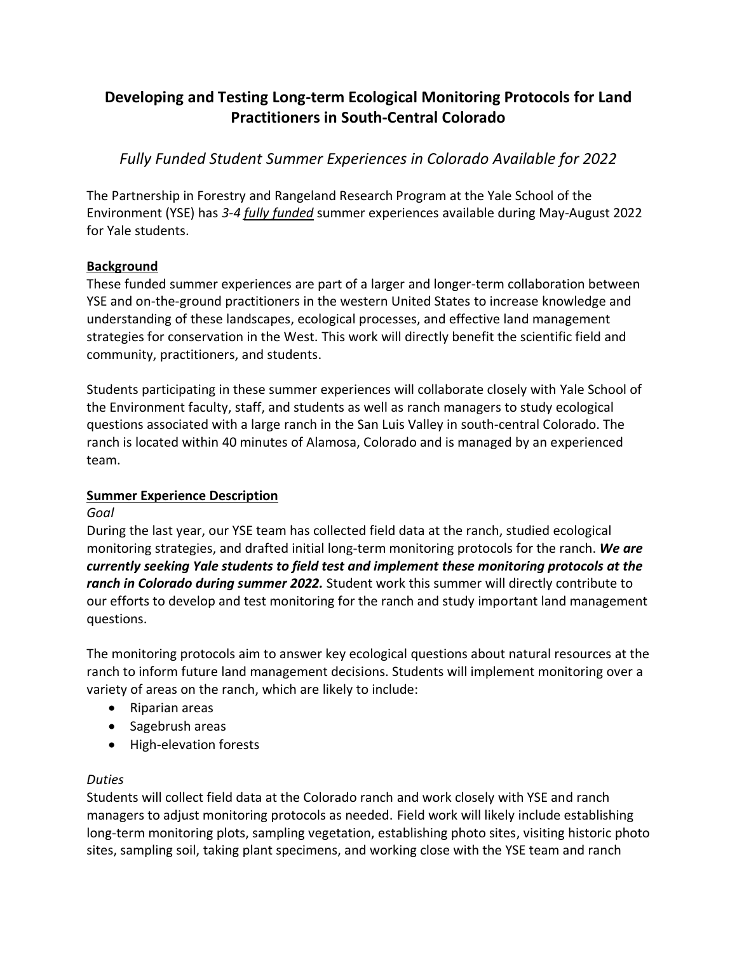# **Developing and Testing Long-term Ecological Monitoring Protocols for Land Practitioners in South-Central Colorado**

*Fully Funded Student Summer Experiences in Colorado Available for 2022*

The Partnership in Forestry and Rangeland Research Program at the Yale School of the Environment (YSE) has *3-4 fully funded* summer experiences available during May-August 2022 for Yale students.

## **Background**

These funded summer experiences are part of a larger and longer-term collaboration between YSE and on-the-ground practitioners in the western United States to increase knowledge and understanding of these landscapes, ecological processes, and effective land management strategies for conservation in the West. This work will directly benefit the scientific field and community, practitioners, and students.

Students participating in these summer experiences will collaborate closely with Yale School of the Environment faculty, staff, and students as well as ranch managers to study ecological questions associated with a large ranch in the San Luis Valley in south-central Colorado. The ranch is located within 40 minutes of Alamosa, Colorado and is managed by an experienced team.

# **Summer Experience Description**

### *Goal*

During the last year, our YSE team has collected field data at the ranch, studied ecological monitoring strategies, and drafted initial long-term monitoring protocols for the ranch. *We are currently seeking Yale students to field test and implement these monitoring protocols at the ranch in Colorado during summer 2022.* Student work this summer will directly contribute to our efforts to develop and test monitoring for the ranch and study important land management questions.

The monitoring protocols aim to answer key ecological questions about natural resources at the ranch to inform future land management decisions. Students will implement monitoring over a variety of areas on the ranch, which are likely to include:

- Riparian areas
- Sagebrush areas
- High-elevation forests

# *Duties*

Students will collect field data at the Colorado ranch and work closely with YSE and ranch managers to adjust monitoring protocols as needed. Field work will likely include establishing long-term monitoring plots, sampling vegetation, establishing photo sites, visiting historic photo sites, sampling soil, taking plant specimens, and working close with the YSE team and ranch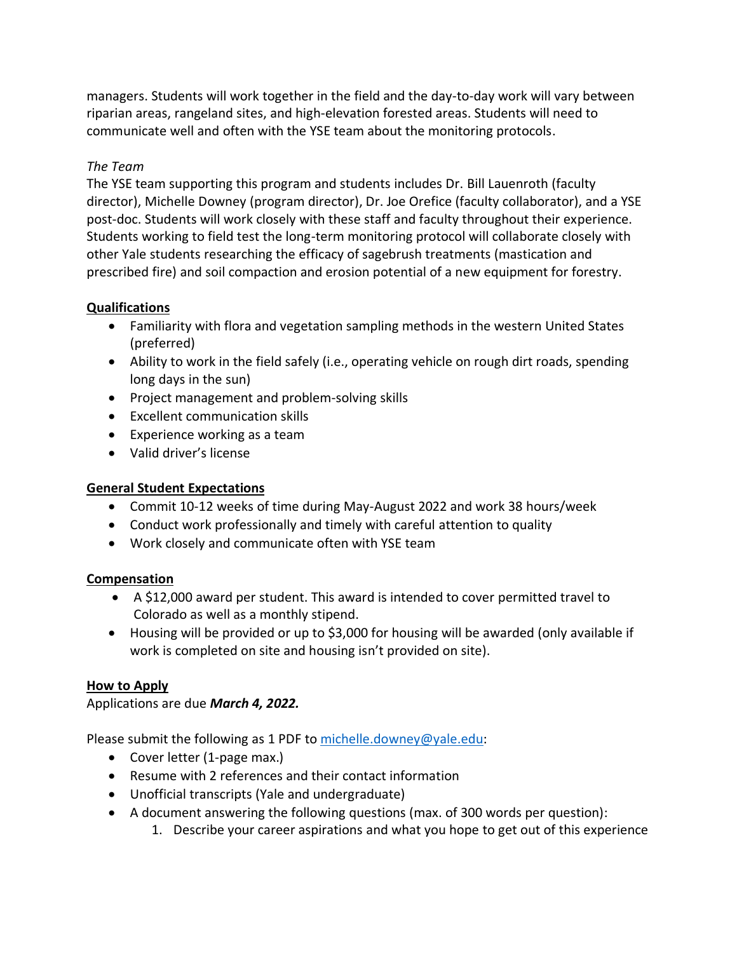managers. Students will work together in the field and the day-to-day work will vary between riparian areas, rangeland sites, and high-elevation forested areas. Students will need to communicate well and often with the YSE team about the monitoring protocols.

### *The Team*

The YSE team supporting this program and students includes Dr. Bill Lauenroth (faculty director), Michelle Downey (program director), Dr. Joe Orefice (faculty collaborator), and a YSE post-doc. Students will work closely with these staff and faculty throughout their experience. Students working to field test the long-term monitoring protocol will collaborate closely with other Yale students researching the efficacy of sagebrush treatments (mastication and prescribed fire) and soil compaction and erosion potential of a new equipment for forestry.

## **Qualifications**

- Familiarity with flora and vegetation sampling methods in the western United States (preferred)
- Ability to work in the field safely (i.e., operating vehicle on rough dirt roads, spending long days in the sun)
- Project management and problem-solving skills
- Excellent communication skills
- Experience working as a team
- Valid driver's license

# **General Student Expectations**

- Commit 10-12 weeks of time during May-August 2022 and work 38 hours/week
- Conduct work professionally and timely with careful attention to quality
- Work closely and communicate often with YSE team

# **Compensation**

- A \$12,000 award per student. This award is intended to cover permitted travel to Colorado as well as a monthly stipend.
- Housing will be provided or up to \$3,000 for housing will be awarded (only available if work is completed on site and housing isn't provided on site).

# **How to Apply**

Applications are due *March 4, 2022.*

Please submit the following as 1 PDF to [michelle.downey@yale.edu:](mailto:michelle.downey@yale.edu)

- Cover letter (1-page max.)
- Resume with 2 references and their contact information
- Unofficial transcripts (Yale and undergraduate)
- A document answering the following questions (max. of 300 words per question):
	- 1. Describe your career aspirations and what you hope to get out of this experience